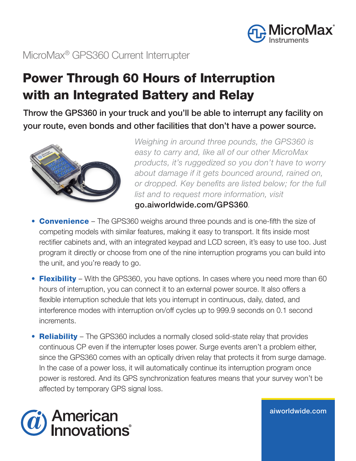

### MicroMax® GPS360 Current Interrupter

# Power Through 60 Hours of Interruption with an Integrated Battery and Relay

Throw the GPS360 in your truck and you'll be able to interrupt any facility on your route, even bonds and other facilities that don't have a power source.



*Weighing in around three pounds, the GPS360 is easy to carry and, like all of our other MicroMax products, it's ruggedized so you don't have to worry about damage if it gets bounced around, rained on, or dropped. Key benefits are listed below; for the full list and to request more information, visit*  go.aiworldwide.com/GPS360*.*

- **Convenience** The GPS360 weighs around three pounds and is one-fifth the size of competing models with similar features, making it easy to transport. It fits inside most rectifier cabinets and, with an integrated keypad and LCD screen, it's easy to use too. Just program it directly or choose from one of the nine interruption programs you can build into the unit, and you're ready to go.
- Flexibility With the GPS360, you have options. In cases where you need more than 60 hours of interruption, you can connect it to an external power source. It also offers a flexible interruption schedule that lets you interrupt in continuous, daily, dated, and interference modes with interruption on/off cycles up to 999.9 seconds on 0.1 second increments.
- Reliability The GPS360 includes a normally closed solid-state relay that provides continuous CP even if the interrupter loses power. Surge events aren't a problem either, since the GPS360 comes with an optically driven relay that protects it from surge damage. In the case of a power loss, it will automatically continue its interruption program once power is restored. And its GPS synchronization features means that your survey won't be affected by temporary GPS signal loss.



aiworldwide.com